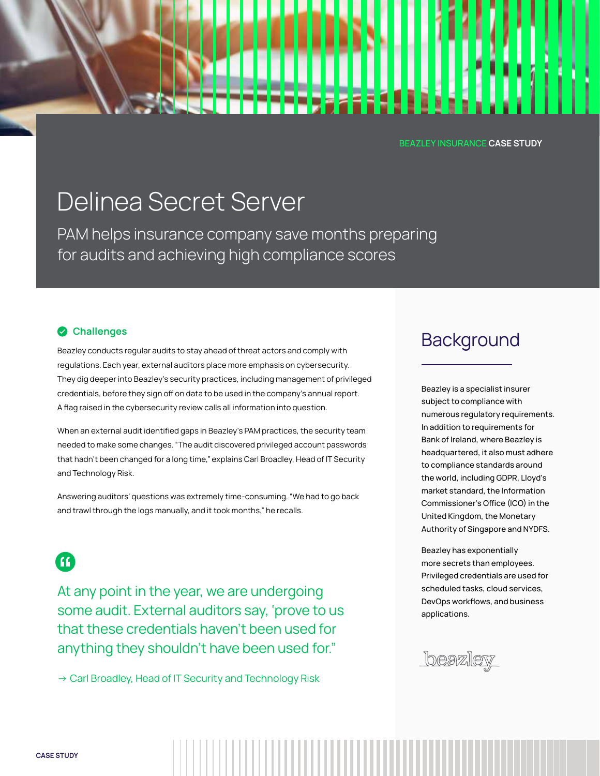#### BEAZLEY INSURANCE CASE STUDY

LE 5

# Delinea Secret Server Delinea Secret Server

PAM helps insurance company save months preparing PAM helps insurance company save months preparing for audits and achieving high compliance scores

#### **Challenges**

Beazley conducts regular audits to stay ahead of threat actors and comply with regulations. Each year, external auditors place more emphasis on cybersecurity. They dig deeper into Beazley's security practices, including management of privileged credentials, before they sign off on data to be used in the company's annual report. A flag raised in the cybersecurity review calls all information into question.

When an external audit identified gaps in Beazley's PAM practices, the security team needed to make some changes. "The audit discovered privileged account passwords that hadn't been changed for a long time," explains Carl Broadley, Head of IT Security and Technology Risk.

Answering auditors' questions was extremely time-consuming. "We had to go back and trawl through the logs manually, and it took months," he recalls.

63

At any point in the year, we are undergoing some audit. External auditors say, 'prove to us that these credentials haven't been used for anything they shouldn't have been used for."

→ Carl Broadley, Head of IT Security and Technology Risk

## **Background**

Beazley is a specialist insurer subject to compliance with numerous regulatory requirements. In addition to requirements for Bank of Ireland, where Beazley is headquartered, it also must adhere to compliance standards around the world, including GDPR, Lloyd's market standard, the Information Commissioner's Office (ICO) in the United Kingdom, the Monetary Authority of Singapore and NYDFS.

Beazley has exponentially more secrets than employees. Privileged credentials are used for scheduled tasks, cloud services, DevOps workflows, and business applications.